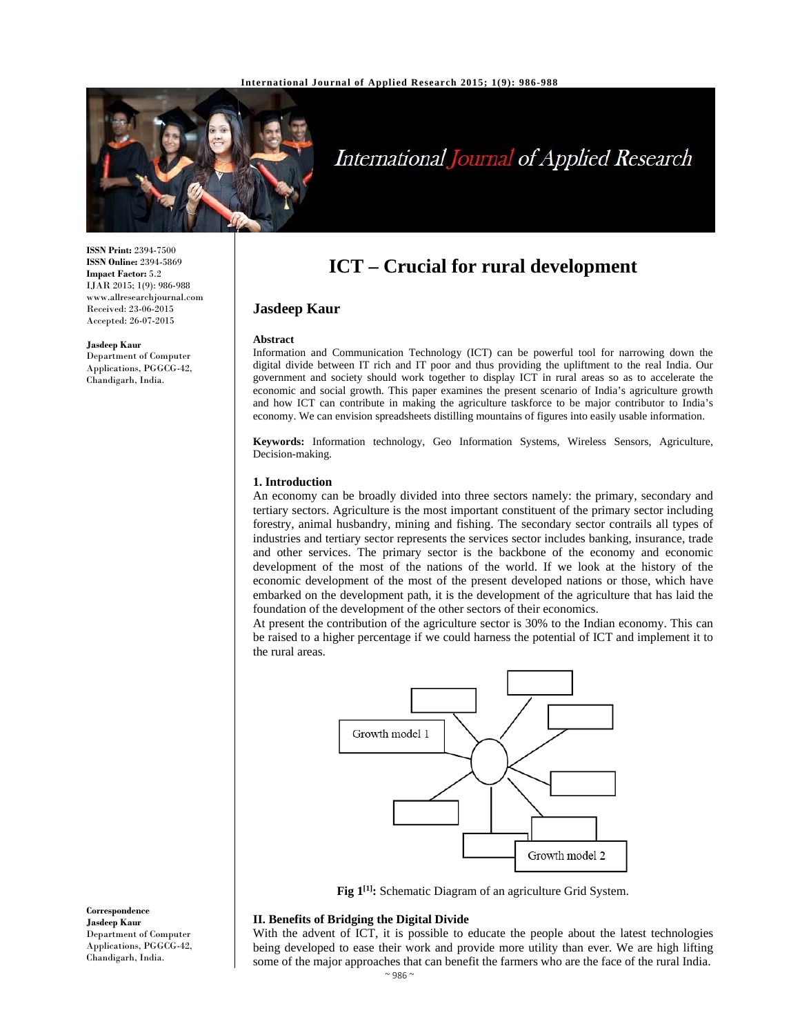

# International Journal of Applied Research

**ISSN Print:** 2394-7500 **ISSN Online:** 2394-5869 **Impact Factor:** 5.2 IJAR 2015; 1(9): 986-988 www.allresearchjournal.com Received: 23-06-2015 Accepted: 26-07-2015

**Jasdeep Kaur**  Department of Computer Applications, PGGCG-42, Chandigarh, India.

# **ICT – Crucial for rural development**

# **Jasdeep Kaur**

#### **Abstract**

Information and Communication Technology (ICT) can be powerful tool for narrowing down the digital divide between IT rich and IT poor and thus providing the upliftment to the real India. Our government and society should work together to display ICT in rural areas so as to accelerate the economic and social growth. This paper examines the present scenario of India's agriculture growth and how ICT can contribute in making the agriculture taskforce to be major contributor to India's economy. We can envision spreadsheets distilling mountains of figures into easily usable information.

**Keywords:** Information technology, Geo Information Systems, Wireless Sensors, Agriculture, Decision-making.

#### **1. Introduction**

An economy can be broadly divided into three sectors namely: the primary, secondary and tertiary sectors. Agriculture is the most important constituent of the primary sector including forestry, animal husbandry, mining and fishing. The secondary sector contrails all types of industries and tertiary sector represents the services sector includes banking, insurance, trade and other services. The primary sector is the backbone of the economy and economic development of the most of the nations of the world. If we look at the history of the economic development of the most of the present developed nations or those, which have embarked on the development path, it is the development of the agriculture that has laid the foundation of the development of the other sectors of their economics.

At present the contribution of the agriculture sector is 30% to the Indian economy. This can be raised to a higher percentage if we could harness the potential of ICT and implement it to the rural areas.



Fig  $1^{[1]}$ : Schematic Diagram of an agriculture Grid System.

# **II. Benefits of Bridging the Digital Divide**

With the advent of ICT, it is possible to educate the people about the latest technologies being developed to ease their work and provide more utility than ever. We are high lifting some of the major approaches that can benefit the farmers who are the face of the rural India.

**Correspondence Jasdeep Kaur**  Department of Computer Applications, PGGCG-42, Chandigarh, India.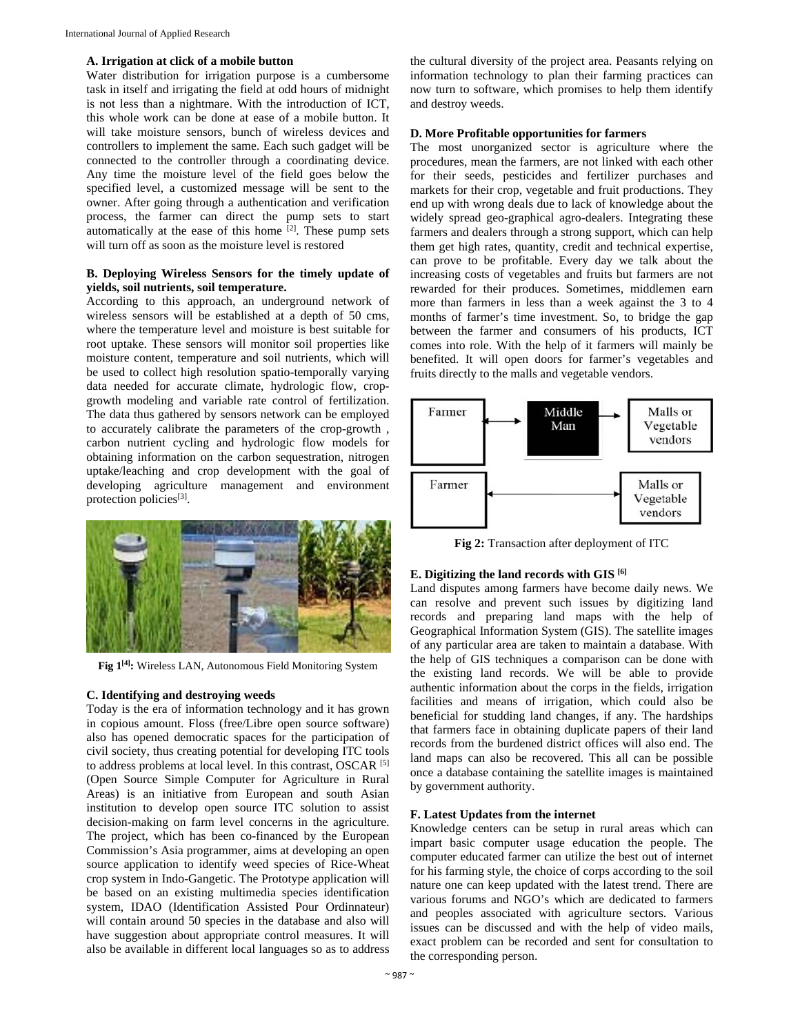#### **A. Irrigation at click of a mobile button**

Water distribution for irrigation purpose is a cumbersome task in itself and irrigating the field at odd hours of midnight is not less than a nightmare. With the introduction of ICT, this whole work can be done at ease of a mobile button. It will take moisture sensors, bunch of wireless devices and controllers to implement the same. Each such gadget will be connected to the controller through a coordinating device. Any time the moisture level of the field goes below the specified level, a customized message will be sent to the owner. After going through a authentication and verification process, the farmer can direct the pump sets to start automatically at the ease of this home  $[2]$ . These pump sets will turn off as soon as the moisture level is restored

# **B. Deploying Wireless Sensors for the timely update of yields, soil nutrients, soil temperature.**

According to this approach, an underground network of wireless sensors will be established at a depth of 50 cms, where the temperature level and moisture is best suitable for root uptake. These sensors will monitor soil properties like moisture content, temperature and soil nutrients, which will be used to collect high resolution spatio-temporally varying data needed for accurate climate, hydrologic flow, cropgrowth modeling and variable rate control of fertilization. The data thus gathered by sensors network can be employed to accurately calibrate the parameters of the crop-growth , carbon nutrient cycling and hydrologic flow models for obtaining information on the carbon sequestration, nitrogen uptake/leaching and crop development with the goal of developing agriculture management and environment protection policies<sup>[3]</sup>.



**Fig 1[4]:** Wireless LAN, Autonomous Field Monitoring System

## **C. Identifying and destroying weeds**

Today is the era of information technology and it has grown in copious amount. Floss (free/Libre open source software) also has opened democratic spaces for the participation of civil society, thus creating potential for developing ITC tools to address problems at local level. In this contrast, OSCAR [5] (Open Source Simple Computer for Agriculture in Rural Areas) is an initiative from European and south Asian institution to develop open source ITC solution to assist decision-making on farm level concerns in the agriculture. The project, which has been co-financed by the European Commission's Asia programmer, aims at developing an open source application to identify weed species of Rice-Wheat crop system in Indo-Gangetic. The Prototype application will be based on an existing multimedia species identification system, IDAO (Identification Assisted Pour Ordinnateur) will contain around 50 species in the database and also will have suggestion about appropriate control measures. It will also be available in different local languages so as to address

the cultural diversity of the project area. Peasants relying on information technology to plan their farming practices can now turn to software, which promises to help them identify and destroy weeds.

#### **D. More Profitable opportunities for farmers**

The most unorganized sector is agriculture where the procedures, mean the farmers, are not linked with each other for their seeds, pesticides and fertilizer purchases and markets for their crop, vegetable and fruit productions. They end up with wrong deals due to lack of knowledge about the widely spread geo-graphical agro-dealers. Integrating these farmers and dealers through a strong support, which can help them get high rates, quantity, credit and technical expertise, can prove to be profitable. Every day we talk about the increasing costs of vegetables and fruits but farmers are not rewarded for their produces. Sometimes, middlemen earn more than farmers in less than a week against the 3 to 4 months of farmer's time investment. So, to bridge the gap between the farmer and consumers of his products, ICT comes into role. With the help of it farmers will mainly be benefited. It will open doors for farmer's vegetables and fruits directly to the malls and vegetable vendors.



**Fig 2:** Transaction after deployment of ITC

# **E. Digitizing the land records with GIS [6]**

Land disputes among farmers have become daily news. We can resolve and prevent such issues by digitizing land records and preparing land maps with the help of Geographical Information System (GIS). The satellite images of any particular area are taken to maintain a database. With the help of GIS techniques a comparison can be done with the existing land records. We will be able to provide authentic information about the corps in the fields, irrigation facilities and means of irrigation, which could also be beneficial for studding land changes, if any. The hardships that farmers face in obtaining duplicate papers of their land records from the burdened district offices will also end. The land maps can also be recovered. This all can be possible once a database containing the satellite images is maintained by government authority.

# **F. Latest Updates from the internet**

Knowledge centers can be setup in rural areas which can impart basic computer usage education the people. The computer educated farmer can utilize the best out of internet for his farming style, the choice of corps according to the soil nature one can keep updated with the latest trend. There are various forums and NGO's which are dedicated to farmers and peoples associated with agriculture sectors. Various issues can be discussed and with the help of video mails, exact problem can be recorded and sent for consultation to the corresponding person.